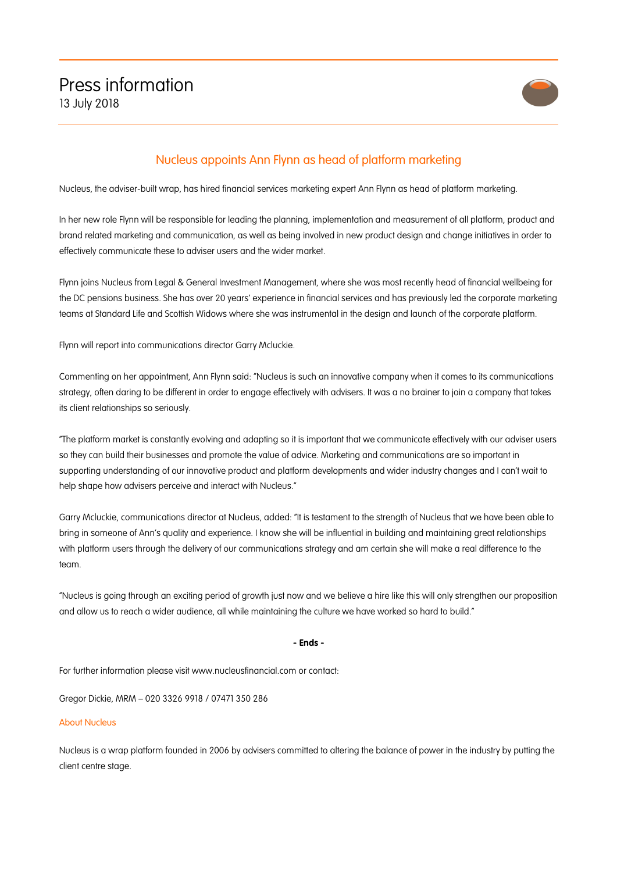

## Nucleus appoints Ann Flynn as head of platform marketing

Nucleus, the adviser-built wrap, has hired financial services marketing expert Ann Flynn as head of platform marketing.

In her new role Flynn will be responsible for leading the planning, implementation and measurement of all platform, product and brand related marketing and communication, as well as being involved in new product design and change initiatives in order to effectively communicate these to adviser users and the wider market.

Flynn joins Nucleus from Legal & General Investment Management, where she was most recently head of financial wellbeing for the DC pensions business. She has over 20 years' experience in financial services and has previously led the corporate marketing teams at Standard Life and Scottish Widows where she was instrumental in the design and launch of the corporate platform.

Flynn will report into communications director Garry Mcluckie.

Commenting on her appointment, Ann Flynn said: "Nucleus is such an innovative company when it comes to its communications strategy, often daring to be different in order to engage effectively with advisers. It was a no brainer to join a company that takes its client relationships so seriously.

"The platform market is constantly evolving and adapting so it is important that we communicate effectively with our adviser users so they can build their businesses and promote the value of advice. Marketing and communications are so important in supporting understanding of our innovative product and platform developments and wider industry changes and I can't wait to help shape how advisers perceive and interact with Nucleus."

Garry Mcluckie, communications director at Nucleus, added: "It is testament to the strength of Nucleus that we have been able to bring in someone of Ann's quality and experience. I know she will be influential in building and maintaining great relationships with platform users through the delivery of our communications strategy and am certain she will make a real difference to the team.

"Nucleus is going through an exciting period of growth just now and we believe a hire like this will only strengthen our proposition and allow us to reach a wider audience, all while maintaining the culture we have worked so hard to build."

## **- Ends -**

For further information please visit www.nucleusfinancial.com or contact:

Gregor Dickie, MRM – 020 3326 9918 / 07471 350 286

## About Nucleus

Nucleus is a wrap platform founded in 2006 by advisers committed to altering the balance of power in the industry by putting the client centre stage.